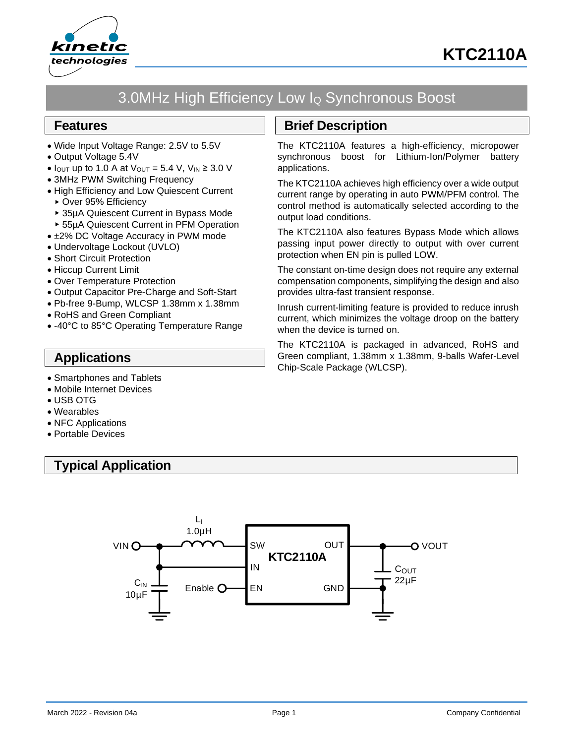



# 3.0MHz High Efficiency Low I<sup>Q</sup> Synchronous Boost

### **Features**

- Wide Input Voltage Range: 2.5V to 5.5V
- Output Voltage 5.4V
- $I_{\text{OUT}}$  up to 1.0 A at  $V_{\text{OUT}} = 5.4$  V,  $V_{\text{IN}} \geq 3.0$  V
- 3MHz PWM Switching Frequency
- High Efficiency and Low Quiescent Current
	- ▶ Over 95% Efficiency
- ▶ 35uA Quiescent Current in Bypass Mode
- 55µA Quiescent Current in PFM Operation
- ±2% DC Voltage Accuracy in PWM mode
- Undervoltage Lockout (UVLO)
- Short Circuit Protection
- Hiccup Current Limit
- Over Temperature Protection
- Output Capacitor Pre-Charge and Soft-Start
- Pb-free 9-Bump, WLCSP 1.38mm x 1.38mm
- RoHS and Green Compliant
- -40°C to 85°C Operating Temperature Range

## **Applications**

- Smartphones and Tablets
- Mobile Internet Devices
- USB OTG
- Wearables
- NFC Applications
- Portable Devices

# **Typical Application**

# **Brief Description**

The KTC2110A features a high-efficiency, micropower synchronous boost for Lithium-Ion/Polymer battery applications.

The KTC2110A achieves high efficiency over a wide output current range by operating in auto PWM/PFM control. The control method is automatically selected according to the output load conditions.

The KTC2110A also features Bypass Mode which allows passing input power directly to output with over current protection when EN pin is pulled LOW.

The constant on-time design does not require any external compensation components, simplifying the design and also provides ultra-fast transient response.

Inrush current-limiting feature is provided to reduce inrush current, which minimizes the voltage droop on the battery when the device is turned on.

The KTC2110A is packaged in advanced, RoHS and Green compliant, 1.38mm x 1.38mm, 9-balls Wafer-Level Chip-Scale Package (WLCSP).

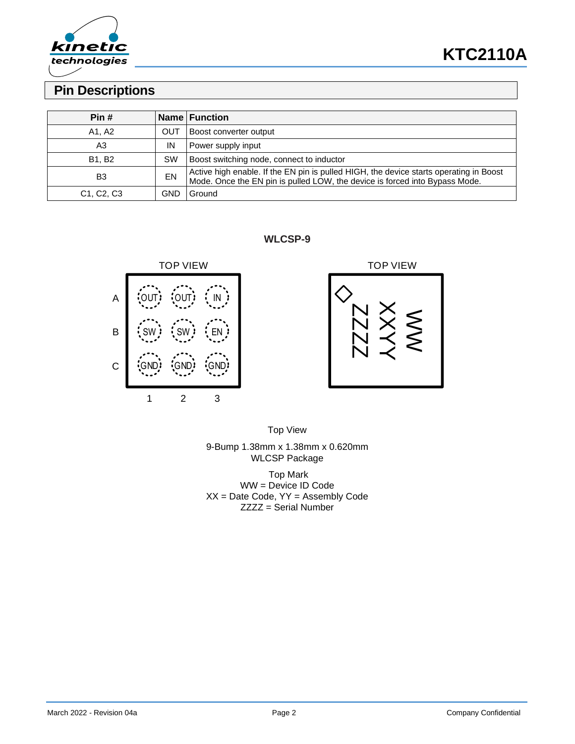

# **Pin Descriptions**

| Pin#                                             |     | <b>Name Function</b>                                                                                                                                                  |
|--------------------------------------------------|-----|-----------------------------------------------------------------------------------------------------------------------------------------------------------------------|
| A1, A2                                           | OUT | Boost converter output                                                                                                                                                |
| A3                                               | IN  | Power supply input                                                                                                                                                    |
| <b>B1. B2</b>                                    | SW  | Boost switching node, connect to inductor                                                                                                                             |
| B <sub>3</sub>                                   | EN  | Active high enable. If the EN pin is pulled HIGH, the device starts operating in Boost<br>Mode. Once the EN pin is pulled LOW, the device is forced into Bypass Mode. |
| C <sub>1</sub> , C <sub>2</sub> , C <sub>3</sub> | GND | Ground                                                                                                                                                                |

**WLCSP-9**





Top View 9-Bump 1.38mm x 1.38mm x 0.620mm WLCSP Package

Top Mark WW = Device ID Code  $XX = Date Code, YY = Assembly Code$ ZZZZ = Serial Number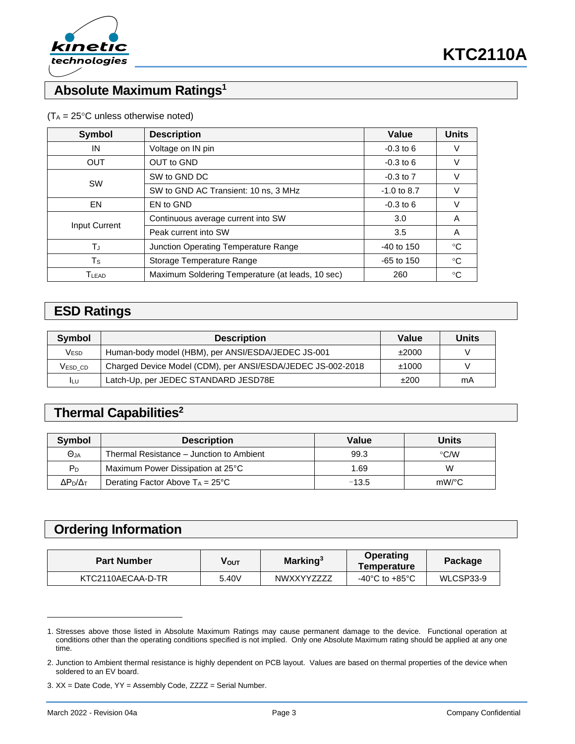

# **Absolute Maximum Ratings<sup>1</sup>**

| Symbol               | <b>Description</b>                               | Value         | <b>Units</b> |
|----------------------|--------------------------------------------------|---------------|--------------|
| IN                   | Voltage on IN pin                                | $-0.3$ to 6   |              |
| <b>OUT</b>           | OUT to GND                                       | $-0.3$ to 6   | V            |
| <b>SW</b>            | SW to GND DC                                     | $-0.3$ to $7$ |              |
|                      | SW to GND AC Transient: 10 ns, 3 MHz             | $-1.0$ to 8.7 |              |
| EN                   | EN to GND                                        | $-0.3$ to 6   | V            |
| <b>Input Current</b> | Continuous average current into SW               | 3.0           | A            |
|                      | Peak current into SW                             | 3.5           | A            |
| TJ                   | Junction Operating Temperature Range             |               | °C           |
| $T_{\rm S}$          | Storage Temperature Range                        | $-65$ to 150  | °C           |
| TLEAD                | Maximum Soldering Temperature (at leads, 10 sec) |               | °C           |

#### $(T_A = 25^{\circ}C$  unless otherwise noted)

## **ESD Ratings**

| Symbol  | <b>Description</b>                                          | Value | <b>Units</b> |
|---------|-------------------------------------------------------------|-------|--------------|
| Vesd    | Human-body model (HBM), per ANSI/ESDA/JEDEC JS-001          | ±2000 | V            |
| VESD CD | Charged Device Model (CDM), per ANSI/ESDA/JEDEC JS-002-2018 | ±1000 | V            |
| I∟∪     | Latch-Up, per JEDEC STANDARD JESD78E                        | ±200  | mA           |

# **Thermal Capabilities<sup>2</sup>**

| Symbol                | <b>Description</b>                        | Value   | Units         |
|-----------------------|-------------------------------------------|---------|---------------|
| $\Theta$ JA           | Thermal Resistance – Junction to Ambient  | 99.3    | $\degree$ C/W |
| P <sub>D</sub>        | Maximum Power Dissipation at 25°C         | 1.69    | W             |
| $\Delta P_D/\Delta_T$ | Derating Factor Above $T_A = 25^{\circ}C$ | $-13.5$ | mW/°C         |

### **Ordering Information**

| <b>Part Number</b> | νουτ  | Marking <sup>3</sup> | Operating<br>Temperature | Package   |
|--------------------|-------|----------------------|--------------------------|-----------|
| KTC2110AECAA-D-TR  | 5.40V | <b>NWXXYYZZZZ</b>    | -40°C to +85°C           | WLCSP33-9 |

<sup>1.</sup> Stresses above those listed in Absolute Maximum Ratings may cause permanent damage to the device. Functional operation at conditions other than the operating conditions specified is not implied. Only one Absolute Maximum rating should be applied at any one time.

<sup>2.</sup> Junction to Ambient thermal resistance is highly dependent on PCB layout. Values are based on thermal properties of the device when soldered to an EV board.

<sup>3.</sup> XX = Date Code, YY = Assembly Code, ZZZZ = Serial Number.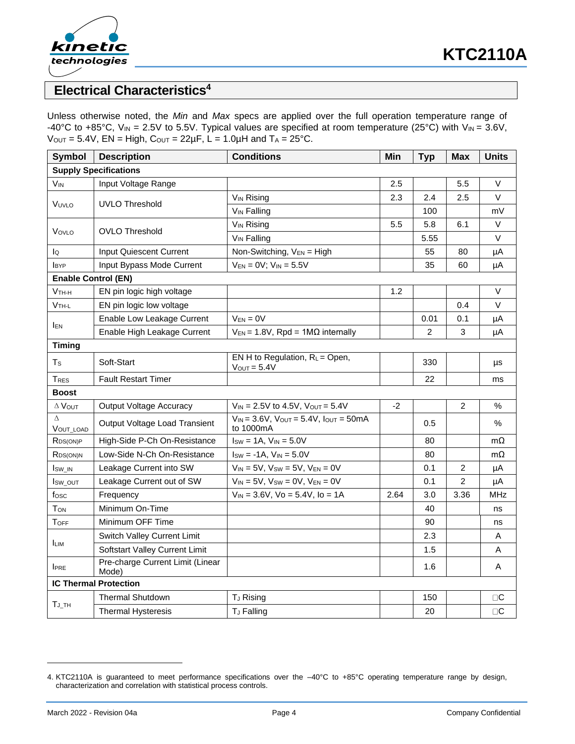

## **Electrical Characteristics<sup>4</sup>**

Unless otherwise noted, the *Min* and *Max* specs are applied over the full operation temperature range of -40°C to +85°C, V<sub>IN</sub> = 2.5V to 5.5V. Typical values are specified at room temperature (25°C) with V<sub>IN</sub> = 3.6V,  $V_{\text{OUT}} = 5.4V$ ,  $EN = High$ ,  $C_{\text{OUT}} = 22\mu F$ ,  $L = 1.0\mu H$  and  $T_A = 25\text{°C}$ .

| <b>Symbol</b>                | <b>Description</b>                        | <b>Conditions</b>                                                  | Min  | <b>Typ</b> | <b>Max</b>     | <b>Units</b>     |  |
|------------------------------|-------------------------------------------|--------------------------------------------------------------------|------|------------|----------------|------------------|--|
| <b>Supply Specifications</b> |                                           |                                                                    |      |            |                |                  |  |
| <b>V<sub>IN</sub></b>        | Input Voltage Range                       |                                                                    | 2.5  |            | 5.5            | $\vee$           |  |
| VUVLO                        |                                           | <b>V<sub>IN</sub></b> Rising                                       | 2.3  | 2.4        | 2.5            | $\vee$           |  |
|                              | <b>UVLO Threshold</b>                     | V <sub>IN</sub> Falling                                            |      | 100        |                | mV               |  |
| VovLo                        |                                           | <b>V<sub>IN</sub></b> Rising                                       | 5.5  | 5.8        | 6.1            | $\vee$           |  |
|                              | <b>OVLO Threshold</b>                     | V <sub>IN</sub> Falling                                            |      | 5.55       |                | $\vee$           |  |
| lQ                           | Input Quiescent Current                   | Non-Switching, V <sub>EN</sub> = High                              |      | 55         | 80             | μA               |  |
| <b>BYP</b>                   | Input Bypass Mode Current                 | $V_{EN} = 0V$ ; $V_{IN} = 5.5V$                                    |      | 35         | 60             | μA               |  |
| <b>Enable Control (EN)</b>   |                                           |                                                                    |      |            |                |                  |  |
| $V$ TH-H                     | EN pin logic high voltage                 |                                                                    | 1.2  |            |                | $\vee$           |  |
| $V$ TH-L                     | EN pin logic low voltage                  |                                                                    |      |            | 0.4            | $\vee$           |  |
|                              | Enable Low Leakage Current                | $V_{EN} = 0V$                                                      |      | 0.01       | 0.1            | μA               |  |
| <b>IEN</b>                   | Enable High Leakage Current               | $V_{EN}$ = 1.8V, Rpd = 1M $\Omega$ internally                      |      | 2          | 3              | μA               |  |
| <b>Timing</b>                |                                           |                                                                    |      |            |                |                  |  |
| $T_{\rm S}$                  | Soft-Start                                | EN H to Regulation, $R_L$ = Open,<br>$V_{OUT} = 5.4V$              |      | 330        |                | μs               |  |
| TRES                         | <b>Fault Restart Timer</b>                |                                                                    |      | 22         |                | ms               |  |
| <b>Boost</b>                 |                                           |                                                                    |      |            |                |                  |  |
| $\Delta$ VOUT                | <b>Output Voltage Accuracy</b>            | $V_{IN}$ = 2.5V to 4.5V, $V_{OUT}$ = 5.4V                          | $-2$ |            | $\overline{c}$ | $\%$             |  |
| $\Delta$<br><b>VOUT LOAD</b> | Output Voltage Load Transient             | $V_{IN} = 3.6V$ , $V_{OUT} = 5.4V$ , $I_{OUT} = 50mA$<br>to 1000mA |      | 0.5        |                | %                |  |
| RDS(ON)P                     | High-Side P-Ch On-Resistance              | $Isw = 1A$ , $V_{IN} = 5.0V$                                       |      | 80         |                | mΩ               |  |
| RDS(ON)N                     | Low-Side N-Ch On-Resistance               | $I_{SW} = -1A$ , $V_{IN} = 5.0V$                                   |      | 80         |                | $m\Omega$        |  |
| Isw_IN                       | Leakage Current into SW                   | $V_{IN} = 5V$ , $V_{SW} = 5V$ , $V_{EN} = 0V$                      |      | 0.1        | 2              | μA               |  |
| I <sub>sw_out</sub>          | Leakage Current out of SW                 | $V_{IN} = 5V$ , $V_{SW} = 0V$ , $V_{EN} = 0V$                      |      | 0.1        | 2              | μA               |  |
| fosc                         | Frequency                                 | $V_{IN} = 3.6V$ , $Vo = 5.4V$ , $lo = 1A$                          | 2.64 | 3.0        | 3.36           | <b>MHz</b>       |  |
| <b>TON</b>                   | Minimum On-Time                           |                                                                    |      | 40         |                | ns               |  |
| <b>TOFF</b>                  | Minimum OFF Time                          |                                                                    |      | 90         |                | ns               |  |
| <b>ILIM</b>                  | Switch Valley Current Limit               |                                                                    |      | 2.3        |                | A                |  |
|                              | Softstart Valley Current Limit            |                                                                    |      | 1.5        |                | Α                |  |
| <b>IPRE</b>                  | Pre-charge Current Limit (Linear<br>Mode) |                                                                    |      | 1.6        |                | Α                |  |
| <b>IC Thermal Protection</b> |                                           |                                                                    |      |            |                |                  |  |
| $T_J$ _TH                    | <b>Thermal Shutdown</b>                   | T <sub>J</sub> Rising                                              |      | 150        |                | $\Box\textbf{C}$ |  |
|                              | <b>Thermal Hysteresis</b>                 | T <sub>J</sub> Falling                                             |      | 20         |                | $\Box\textbf{C}$ |  |

<sup>4.</sup> KTC2110A is guaranteed to meet performance specifications over the –40°C to +85°C operating temperature range by design, characterization and correlation with statistical process controls.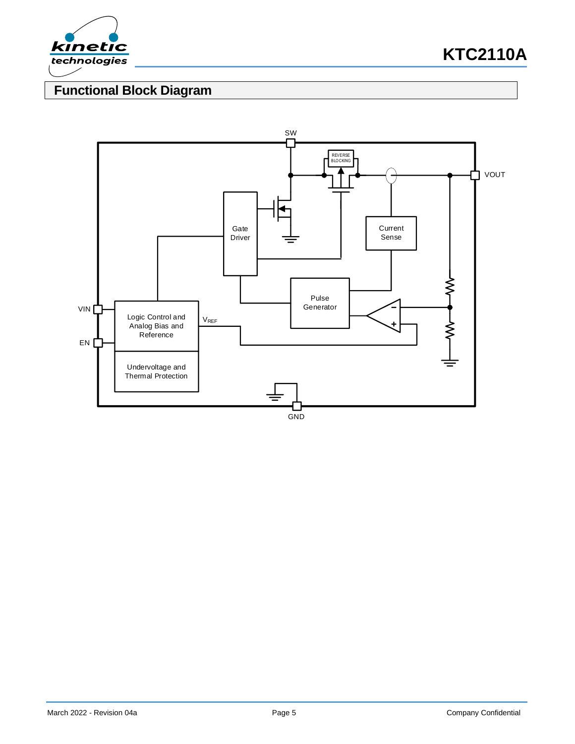

# **Functional Block Diagram**

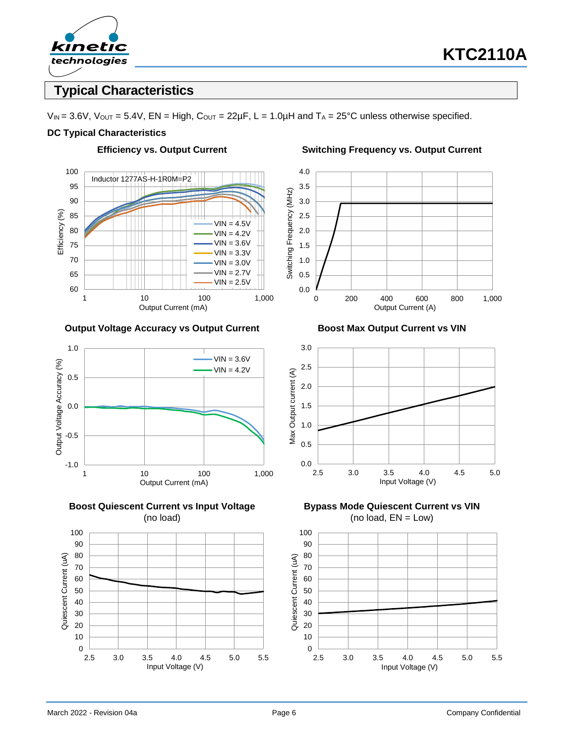

## **Typical Characteristics**

 $V_{\text{IN}} = 3.6V$ ,  $V_{\text{OUT}} = 5.4V$ ,  $EN = High$ ,  $C_{\text{OUT}} = 22\mu F$ ,  $L = 1.0\mu H$  and  $T_A = 25\text{°C}$  unless otherwise specified.

#### **DC Typical Characteristics**



#### **Output Voltage Accuracy vs Output Current Boost Max Output Current vs VIN**







#### **Efficiency vs. Output Current Switching Frequency vs. Output Current**





**Bypass Mode Quiescent Current vs VIN** (no load,  $EN = Low$ )

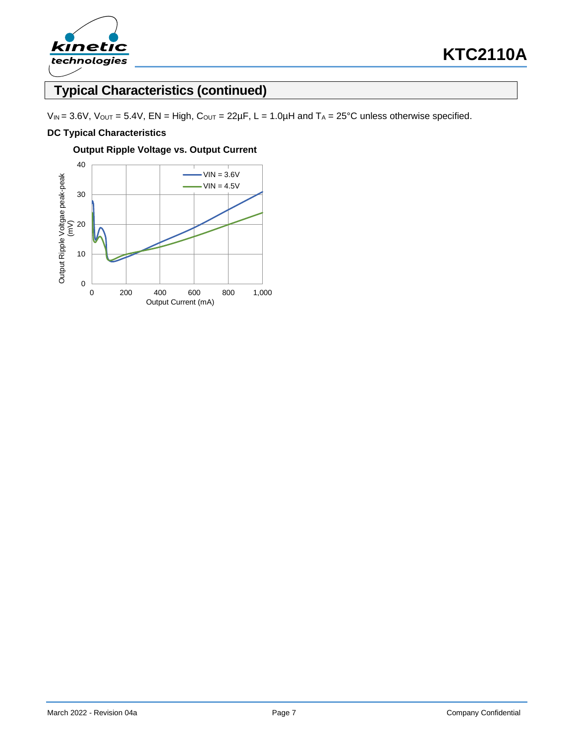

# **Typical Characteristics (continued)**

 $V_{IN} = 3.6V$ ,  $V_{OUT} = 5.4V$ ,  $EN = High$ ,  $C_{OUT} = 22\mu F$ ,  $L = 1.0\mu H$  and  $T_A = 25\textdegree C$  unless otherwise specified.

#### **DC Typical Characteristics**



**Output Ripple Voltage vs. Output Current**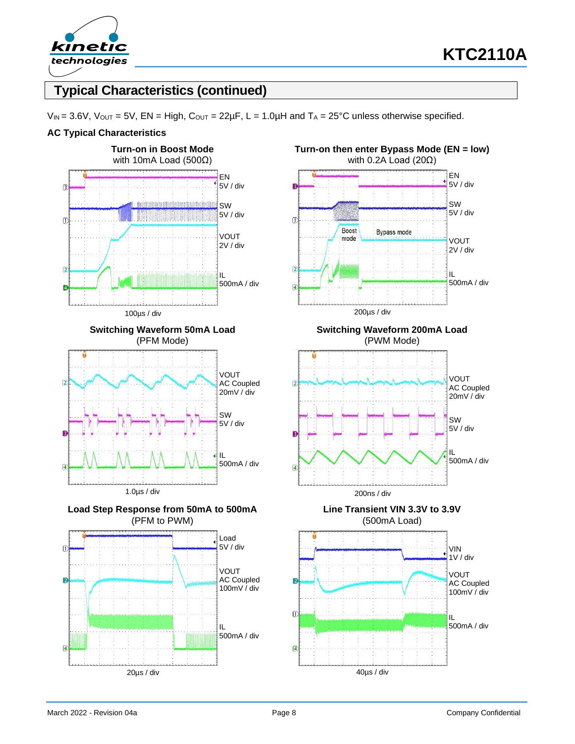

# **Typical Characteristics (continued)**

 $V_{\text{IN}} = 3.6V$ ,  $V_{\text{OUT}} = 5V$ ,  $EN = High$ ,  $C_{\text{OUT}} = 22\mu F$ ,  $L = 1.0\mu H$  and  $T_A = 25\text{°C}$  unless otherwise specified.

#### **AC Typical Characteristics**

















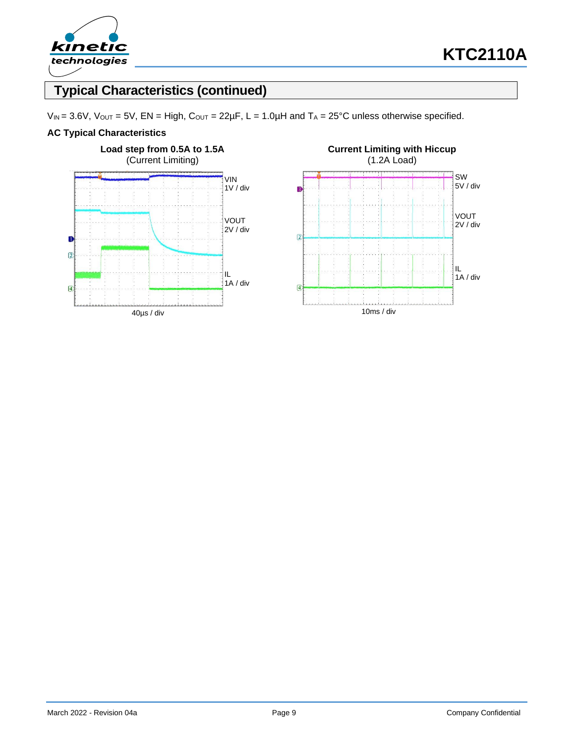

# **Typical Characteristics (continued)**

 $V_{IN} = 3.6V$ ,  $V_{OUT} = 5V$ ,  $EN = High$ ,  $C_{OUT} = 22\mu F$ ,  $L = 1.0\mu H$  and  $T_A = 25\textdegree C$  unless otherwise specified.

#### **AC Typical Characteristics**



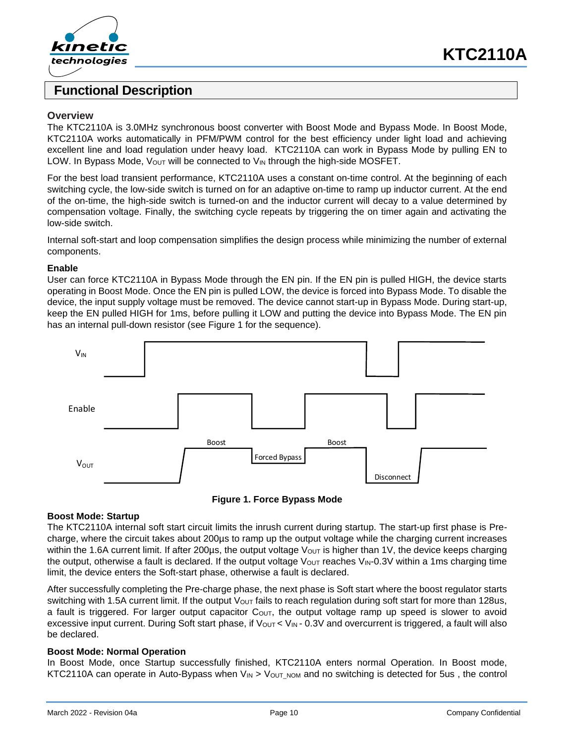

### **Functional Description**

#### **Overview**

The KTC2110A is 3.0MHz synchronous boost converter with Boost Mode and Bypass Mode. In Boost Mode, KTC2110A works automatically in PFM/PWM control for the best efficiency under light load and achieving excellent line and load regulation under heavy load. KTC2110A can work in Bypass Mode by pulling EN to LOW. In Bypass Mode,  $V_{\text{OUT}}$  will be connected to  $V_{\text{IN}}$  through the high-side MOSFET.

For the best load transient performance, KTC2110A uses a constant on-time control. At the beginning of each switching cycle, the low-side switch is turned on for an adaptive on-time to ramp up inductor current. At the end of the on-time, the high-side switch is turned-on and the inductor current will decay to a value determined by compensation voltage. Finally, the switching cycle repeats by triggering the on timer again and activating the low-side switch.

Internal soft-start and loop compensation simplifies the design process while minimizing the number of external components.

#### **Enable**

User can force KTC2110A in Bypass Mode through the EN pin. If the EN pin is pulled HIGH, the device starts operating in Boost Mode. Once the EN pin is pulled LOW, the device is forced into Bypass Mode. To disable the device, the input supply voltage must be removed. The device cannot start-up in Bypass Mode. During start-up, keep the EN pulled HIGH for 1ms, before pulling it LOW and putting the device into Bypass Mode. The EN pin has an internal pull-down resistor (see Figure 1 for the sequence).





#### **Boost Mode: Startup**

The KTC2110A internal soft start circuit limits the inrush current during startup. The start-up first phase is Precharge, where the circuit takes about 200µs to ramp up the output voltage while the charging current increases within the 1.6A current limit. If after 200 $\mu$ s, the output voltage V<sub>OUT</sub> is higher than 1V, the device keeps charging the output, otherwise a fault is declared. If the output voltage  $V_{\text{OUT}}$  reaches  $V_{\text{IN}}-0.3V$  within a 1ms charging time limit, the device enters the Soft-start phase, otherwise a fault is declared.

After successfully completing the Pre-charge phase, the next phase is Soft start where the boost regulator starts switching with 1.5A current limit. If the output  $V_{\text{OUT}}$  fails to reach regulation during soft start for more than 128us, a fault is triggered. For larger output capacitor  $C_{\text{OUT}}$ , the output voltage ramp up speed is slower to avoid excessive input current. During Soft start phase, if  $V_{\text{OUT}}$  <  $V_{\text{IN}}$  - 0.3V and overcurrent is triggered, a fault will also be declared.

#### **Boost Mode: Normal Operation**

In Boost Mode, once Startup successfully finished, KTC2110A enters normal Operation. In Boost mode, KTC2110A can operate in Auto-Bypass when  $V_{\text{IN}} > V_{\text{OUT NOM}}$  and no switching is detected for 5us, the control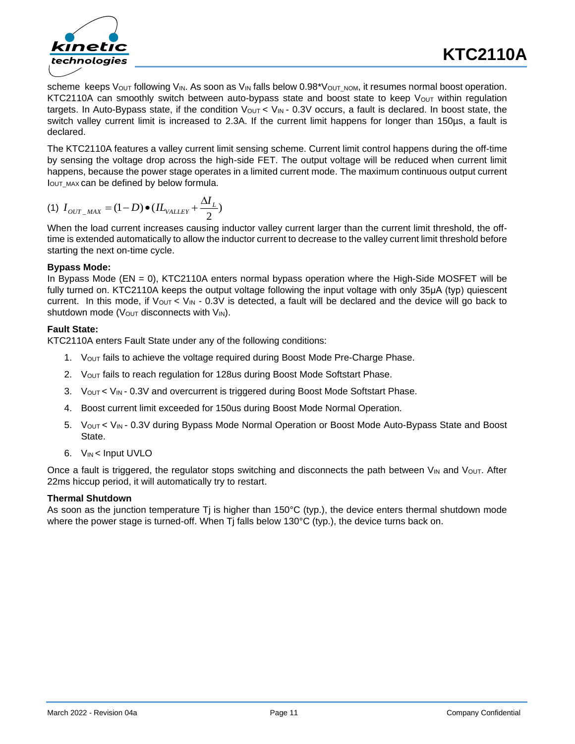

scheme keeps Vout following VIN. As soon as VIN falls below 0.98\*Vout\_NOM, it resumes normal boost operation. KTC2110A can smoothly switch between auto-bypass state and boost state to keep Vout within regulation targets. In Auto-Bypass state, if the condition  $V_{\text{OUT}}$  <  $V_{\text{IN}}$  - 0.3V occurs, a fault is declared. In boost state, the switch valley current limit is increased to 2.3A. If the current limit happens for longer than 150µs, a fault is declared.

The KTC2110A features a valley current limit sensing scheme. Current limit control happens during the off-time by sensing the voltage drop across the high-side FET. The output voltage will be reduced when current limit happens, because the power stage operates in a limited current mode. The maximum continuous output current IOUT MAX can be defined by below formula.

(1) 
$$
I_{OUT\_MAX} = (1 - D) \bullet (IL_{VALLEY} + \frac{\Delta I_L}{2})
$$

When the load current increases causing inductor valley current larger than the current limit threshold, the offtime is extended automatically to allow the inductor current to decrease to the valley current limit threshold before starting the next on-time cycle.

#### **Bypass Mode:**

In Bypass Mode (EN = 0), KTC2110A enters normal bypass operation where the High-Side MOSFET will be fully turned on. KTC2110A keeps the output voltage following the input voltage with only 35μA (typ) quiescent current. In this mode, if  $V_{\text{OUT}} < V_{\text{IN}}$  - 0.3V is detected, a fault will be declared and the device will go back to shutdown mode ( $V_{\text{OUT}}$  disconnects with  $V_{\text{IN}}$ ).

#### **Fault State:**

KTC2110A enters Fault State under any of the following conditions:

- 1. VOUT fails to achieve the voltage required during Boost Mode Pre-Charge Phase.
- 2. Vout fails to reach regulation for 128us during Boost Mode Softstart Phase.
- 3. Vout < VIN 0.3V and overcurrent is triggered during Boost Mode Softstart Phase.
- 4. Boost current limit exceeded for 150us during Boost Mode Normal Operation.
- 5. Vout < V<sub>IN</sub> 0.3V during Bypass Mode Normal Operation or Boost Mode Auto-Bypass State and Boost State.
- 6. VIN < Input UVLO

Once a fault is triggered, the regulator stops switching and disconnects the path between  $V_{IN}$  and  $V_{OUT}$ . After 22ms hiccup period, it will automatically try to restart.

### **Thermal Shutdown**

As soon as the junction temperature Tj is higher than 150°C (typ.), the device enters thermal shutdown mode where the power stage is turned-off. When Tj falls below 130°C (typ.), the device turns back on.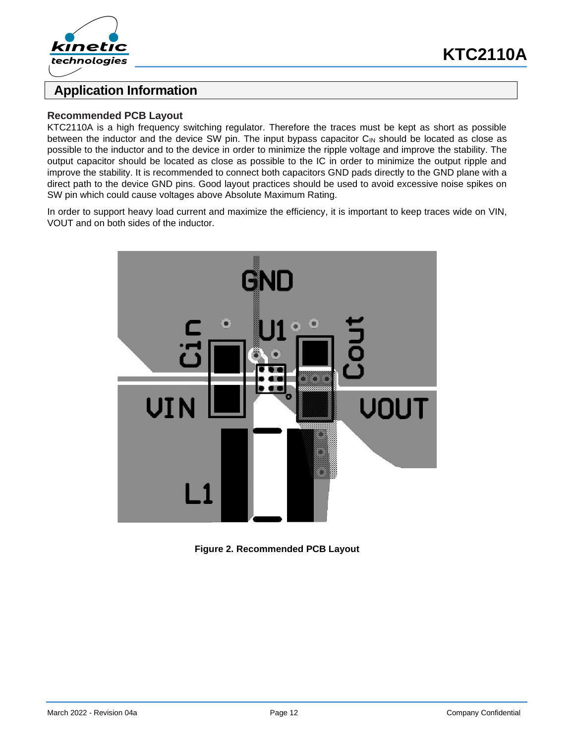



### **Application Information**

#### **Recommended PCB Layout**

KTC2110A is a high frequency switching regulator. Therefore the traces must be kept as short as possible between the inductor and the device SW pin. The input bypass capacitor C<sub>IN</sub> should be located as close as possible to the inductor and to the device in order to minimize the ripple voltage and improve the stability. The output capacitor should be located as close as possible to the IC in order to minimize the output ripple and improve the stability. It is recommended to connect both capacitors GND pads directly to the GND plane with a direct path to the device GND pins. Good layout practices should be used to avoid excessive noise spikes on SW pin which could cause voltages above Absolute Maximum Rating.

In order to support heavy load current and maximize the efficiency, it is important to keep traces wide on VIN, VOUT and on both sides of the inductor.



**Figure 2. Recommended PCB Layout**